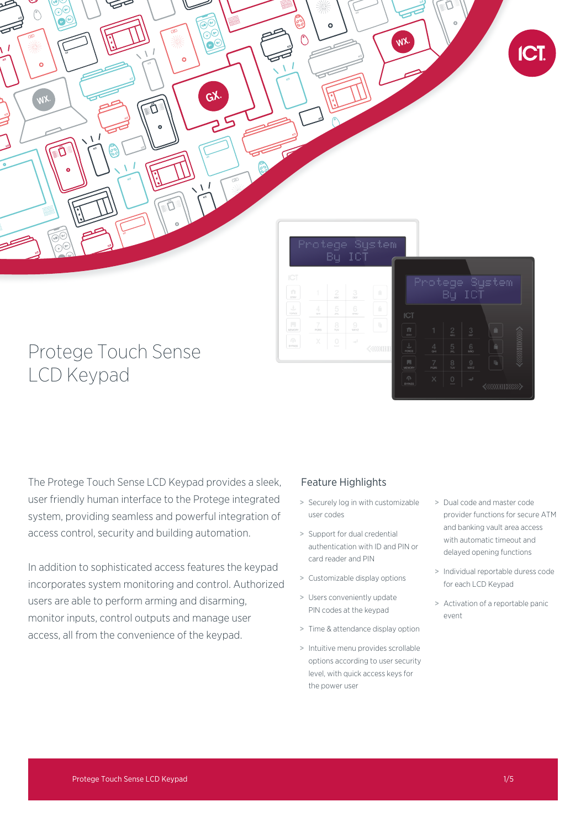

 $\frac{1}{2}$ 

# Protege Touch Sense LCD Keypad

The Protege Touch Sense LCD Keypad provides a sleek, user friendly human interface to the Protege integrated system, providing seamless and powerful integration of access control, security and building automation.

In addition to sophisticated access features the keypad incorporates system monitoring and control. Authorized users are able to perform arming and disarming, monitor inputs, control outputs and manage user access, all from the convenience of the keypad.

## Feature Highlights

> Securely log in with customizable user codes

 $\frac{1}{2}$ 

- > Support for dual credential authentication with ID and PIN or card reader and PIN
- > Customizable display options
- > Users conveniently update PIN codes at the keypad
- > Time & attendance display option
- > Intuitive menu provides scrollable options according to user security level, with quick access keys for the power user
- > Dual code and master code provider functions for secure ATM and banking vault area access with automatic timeout and delayed opening functions
- > Individual reportable duress code for each LCD Keypad
- > Activation of a reportable panic event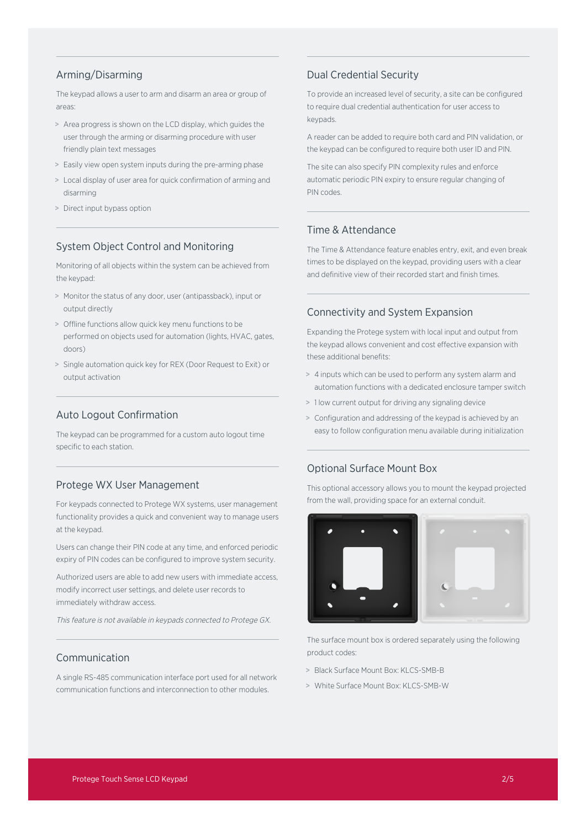## Arming/Disarming

The keypad allows a user to arm and disarm an area or group of areas:

- > Area progress is shown on the LCD display, which guides the user through the arming or disarming procedure with user friendly plain text messages
- > Easily view open system inputs during the pre-arming phase
- > Local display of user area for quick confirmation of arming and disarming
- > Direct input bypass option

## System Object Control and Monitoring

Monitoring of all objects within the system can be achieved from the keypad:

- > Monitor the status of any door, user (antipassback), input or output directly
- > Offline functions allow quick key menu functions to be performed on objects used for automation (lights, HVAC, gates, doors)
- > Single automation quick key for REX (Door Request to Exit) or output activation

## Auto Logout Confirmation

The keypad can be programmed for a custom auto logout time specific to each station.

### Protege WX User Management

For keypads connected to Protege WX systems, user management functionality provides a quick and convenient way to manage users at the keypad.

Users can change their PIN code at any time, and enforced periodic expiry of PIN codes can be configured to improve system security.

Authorized users are able to add new users with immediate access, modify incorrect user settings, and delete user records to immediately withdraw access.

This feature is not available in keypads connected to Protege GX.

## Communication

A single RS-485 communication interface port used for all network communication functions and interconnection to other modules.

## Dual Credential Security

To provide an increased level of security, a site can be configured to require dual credential authentication for user access to keypads.

A reader can be added to require both card and PIN validation, or the keypad can be configured to require both user ID and PIN.

The site can also specify PIN complexity rules and enforce automatic periodic PIN expiry to ensure regular changing of PIN codes.

## Time & Attendance

The Time & Attendance feature enables entry, exit, and even break times to be displayed on the keypad, providing users with a clear and definitive view of their recorded start and finish times.

#### Connectivity and System Expansion

Expanding the Protege system with local input and output from the keypad allows convenient and cost effective expansion with these additional benefits:

- > 4 inputs which can be used to perform any system alarm and automation functions with a dedicated enclosure tamper switch
- > 1 low current output for driving any signaling device
- > Configuration and addressing of the keypad is achieved by an easy to follow configuration menu available during initialization

## Optional Surface Mount Box

This optional accessory allows you to mount the keypad projected from the wall, providing space for an external conduit.



The surface mount box is ordered separately using the following product codes:

- > Black Surface Mount Box: KLCS-SMB-B
- > White Surface Mount Box: KI CS-SMR-W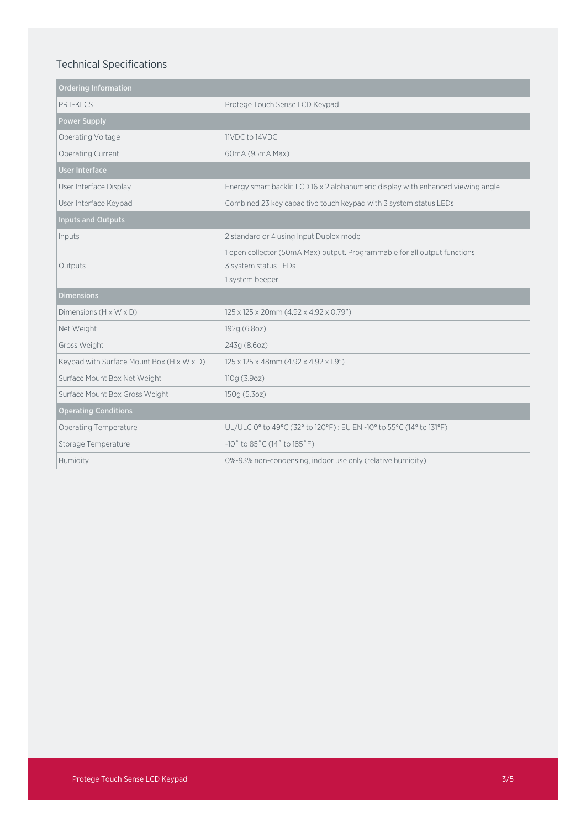# Technical Specifications

| <b>Ordering Information</b>               |                                                                                                                       |
|-------------------------------------------|-----------------------------------------------------------------------------------------------------------------------|
| PRT-KICS                                  | Protege Touch Sense LCD Keypad                                                                                        |
| <b>Power Supply</b>                       |                                                                                                                       |
| Operating Voltage                         | 11VDC to 14VDC                                                                                                        |
| Operating Current                         | 60mA (95mA Max)                                                                                                       |
| <b>User Interface</b>                     |                                                                                                                       |
| User Interface Display                    | Energy smart backlit LCD 16 x 2 alphanumeric display with enhanced viewing angle                                      |
| User Interface Keypad                     | Combined 23 key capacitive touch keypad with 3 system status LEDs                                                     |
| <b>Inputs and Outputs</b>                 |                                                                                                                       |
| Inputs                                    | 2 standard or 4 using Input Duplex mode                                                                               |
| Outputs                                   | 1 open collector (50mA Max) output. Programmable for all output functions.<br>3 system status LEDs<br>1 system beeper |
| <b>Dimensions</b>                         |                                                                                                                       |
| Dimensions $(H \times W \times D)$        | 125 x 125 x 20mm (4.92 x 4.92 x 0.79")                                                                                |
| Net Weight                                | 192g (6.8oz)                                                                                                          |
| Gross Weight                              | 243g (8.6oz)                                                                                                          |
| Keypad with Surface Mount Box (H x W x D) | 125 x 125 x 48mm (4.92 x 4.92 x 1.9")                                                                                 |
| Surface Mount Box Net Weight              | 110g(3.9oz)                                                                                                           |
| Surface Mount Box Gross Weight            | 150g (5.3oz)                                                                                                          |
| <b>Operating Conditions</b>               |                                                                                                                       |
| Operating Temperature                     | UL/ULC 0° to 49°C (32° to 120°F): EU EN -10° to 55°C (14° to 131°F)                                                   |
| Storage Temperature                       | $-10°$ to $85°$ C (14° to $185°$ F)                                                                                   |
| Humidity                                  | 0%-93% non-condensing, indoor use only (relative humidity)                                                            |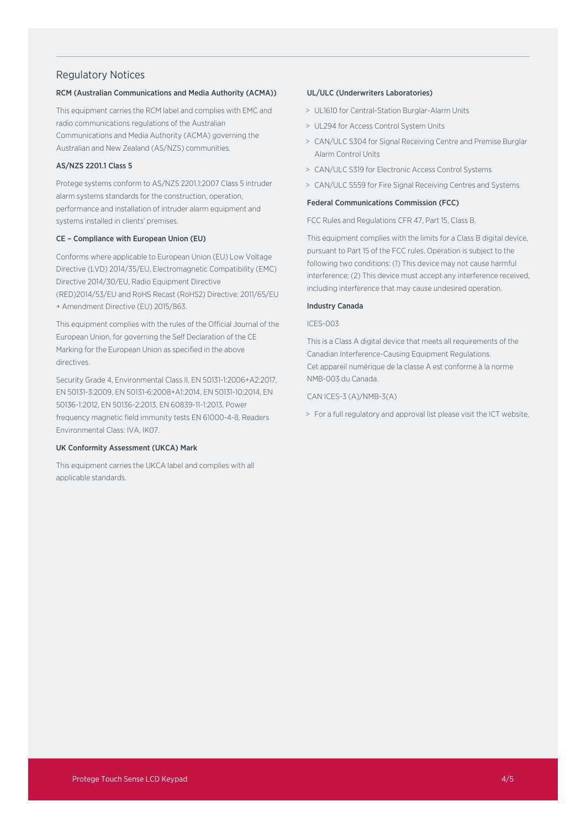### Regulatory Notices

#### RCM (Australian Communications and Media Authority (ACMA))

This equipment carries the RCM label and complies with EMC and radio communications regulations of the Australian Communications and Media Authority (ACMA) governing the Australian and New Zealand (AS/NZS) communities.

#### AS/NZS 2201.1 Class 5

Protege systems conform to AS/NZS 2201.1:2007 Class 5 intruder alarm systems standards for the construction, operation, performance and installation of intruder alarm equipment and systems installed in clients' premises.

#### CE – Compliance with European Union (EU)

Conforms where applicable to European Union (EU) Low Voltage Directive (LVD) 2014/35/EU, Electromagnetic Compatibility (EMC) Directive 2014/30/EU, Radio Equipment Directive (RED)2014/53/EU and RoHS Recast (RoHS2) Directive: 2011/65/EU + Amendment Directive (EU) 2015/863.

This equipment complies with the rules of the Official Journal of the European Union, for governing the Self Declaration of the CE Marking for the European Union as specified in the above directives.

Security Grade 4, Environmental Class II, EN 50131-1:2006+A2:2017, EN 50131-3:2009, EN 50131-6:2008+A1:2014, EN 50131-10:2014, EN 50136-1:2012, EN 50136-2:2013, EN 60839-11-1:2013, Power frequency magnetic field immunity tests EN 61000-4-8, Readers Environmental Class: IVA, IK07.

#### UK Conformity Assessment (UKCA) Mark

This equipment carries the UKCA label and complies with all applicable standards.

#### UL/ULC (Underwriters Laboratories)

- > UL1610 for Central-Station Burglar-Alarm Units
- > UL294 for Access Control System Units
- > CAN/ULC S304 for Signal Receiving Centre and Premise Burglar Alarm Control Units
- > CAN/ULC S319 for Electronic Access Control Systems
- > CAN/ULC S559 for Fire Signal Receiving Centres and Systems

#### Federal Communications Commission (FCC)

FCC Rules and Regulations CFR 47, Part 15, Class B.

This equipment complies with the limits for a Class B digital device, pursuant to Part 15 of the FCC rules. Operation is subject to the following two conditions: (1) This device may not cause harmful interference; (2) This device must accept any interference received, including interference that may cause undesired operation.

#### Industry Canada

#### ICES-003

This is a Class A digital device that meets all requirements of the Canadian Interference-Causing Equipment Regulations. Cet appareil numérique de la classe A est conforme à la norme NMB-003 du Canada.

CAN ICES-3 (A)/NMB-3(A)

> For a full regulatory and approval list please visit the ICT website.